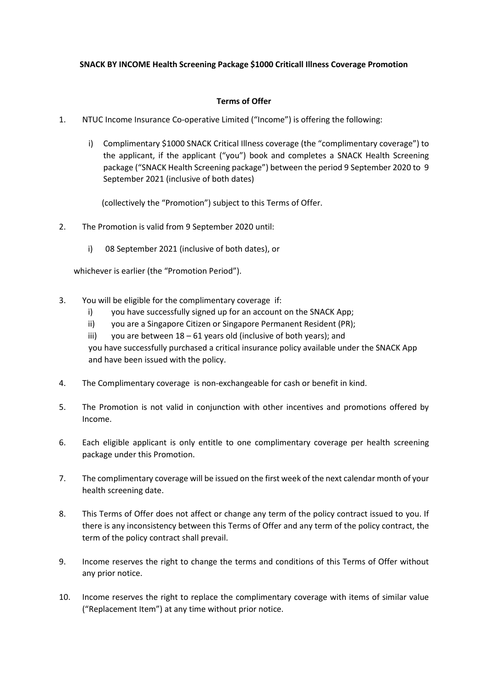## **SNACK BY INCOME Health Screening Package \$1000 Criticall Illness Coverage Promotion**

## **Terms of Offer**

- 1. NTUC Income Insurance Co-operative Limited ("Income") is offering the following:
	- i) Complimentary \$1000 SNACK Critical Illness coverage (the "complimentary coverage") to the applicant, if the applicant ("you") book and completes a SNACK Health Screening package ("SNACK Health Screening package") between the period 9 September 2020 to 9 September 2021 (inclusive of both dates)

(collectively the "Promotion") subject to this Terms of Offer.

- 2. The Promotion is valid from 9 September 2020 until:
	- i) 08 September 2021 (inclusive of both dates), or

whichever is earlier (the "Promotion Period").

- 3. You will be eligible for the complimentary coverage if:
	- i) you have successfully signed up for an account on the SNACK App;
	- ii) you are a Singapore Citizen or Singapore Permanent Resident (PR);
	- iii) you are between  $18 61$  years old (inclusive of both years); and you have successfully purchased a critical insurance policy available under the SNACK App and have been issued with the policy.
- 4. The Complimentary coverage is non-exchangeable for cash or benefit in kind.
- 5. The Promotion is not valid in conjunction with other incentives and promotions offered by Income.
- 6. Each eligible applicant is only entitle to one complimentary coverage per health screening package under this Promotion.
- 7. The complimentary coverage will be issued on the first week of the next calendar month of your health screening date.
- 8. This Terms of Offer does not affect or change any term of the policy contract issued to you. If there is any inconsistency between this Terms of Offer and any term of the policy contract, the term of the policy contract shall prevail.
- 9. Income reserves the right to change the terms and conditions of this Terms of Offer without any prior notice.
- 10. Income reserves the right to replace the complimentary coverage with items of similar value ("Replacement Item") at any time without prior notice.